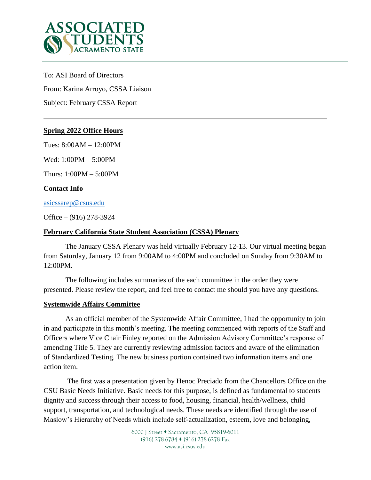

To: ASI Board of Directors

From: Karina Arroyo, CSSA Liaison

Subject: February CSSA Report

# **Spring 2022 Office Hours**

Tues: 8:00AM – 12:00PM

Wed: 1:00PM – 5:00PM

Thurs: 1:00PM – 5:00PM

# **Contact Info**

[asicssarep@csus.edu](mailto:asicssarep@csus.edu)

Office – (916) 278-3924

## **February California State Student Association (CSSA) Plenary**

The January CSSA Plenary was held virtually February 12-13. Our virtual meeting began from Saturday, January 12 from 9:00AM to 4:00PM and concluded on Sunday from 9:30AM to 12:00PM.

The following includes summaries of the each committee in the order they were presented. Please review the report, and feel free to contact me should you have any questions.

## **Systemwide Affairs Committee**

As an official member of the Systemwide Affair Committee, I had the opportunity to join in and participate in this month's meeting. The meeting commenced with reports of the Staff and Officers where Vice Chair Finley reported on the Admission Advisory Committee's response of amending Title 5. They are currently reviewing admission factors and aware of the elimination of Standardized Testing. The new business portion contained two information items and one action item.

The first was a presentation given by Henoc Preciado from the Chancellors Office on the CSU Basic Needs Initiative. Basic needs for this purpose, is defined as fundamental to students dignity and success through their access to food, housing, financial, health/wellness, child support, transportation, and technological needs. These needs are identified through the use of Maslow's Hierarchy of Needs which include self-actualization, esteem, love and belonging,

> 6000 J Street • Sacramento, CA 95819-6011 (916) 278-6784 (916) 278-6278 Fax www.asi.csus.edu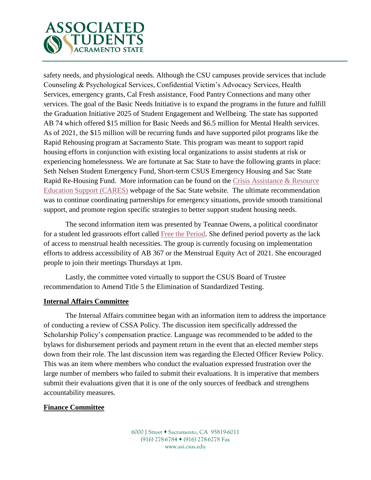

safety needs, and physiological needs. Although the CSU campuses provide services that include Counseling & Psychological Services, Confidential Victim's Advocacy Services, Health Services, emergency grants, Cal Fresh assistance, Food Pantry Connections and many other services. The goal of the Basic Needs Initiative is to expand the programs in the future and fulfill the Graduation Initiative 2025 of Student Engagement and Wellbeing. The state has supported AB 74 which offered \$15 million for Basic Needs and \$6.5 million for Mental Health services. As of 2021, the \$15 million will be recurring funds and have supported pilot programs like the Rapid Rehousing program at Sacramento State. This program was meant to support rapid housing efforts in conjunction with existing local organizations to assist students at risk or experiencing homelessness. We are fortunate at Sac State to have the following grants in place: Seth Nelsen Student Emergency Fund, Short-term CSUS Emergency Housing and Sac State Rapid Re-Housing Fund. More information can be found on the [Crisis Assistance & Resource](https://www.csus.edu/student-affairs/crisis-assistance-resource-education-support/resources.html#housing-insecurity)  [Education Support \(CARES\)](https://www.csus.edu/student-affairs/crisis-assistance-resource-education-support/resources.html#housing-insecurity) webpage of the Sac State website. The ultimate recommendation was to continue coordinating partnerships for emergency situations, provide smooth transitional support, and promote region specific strategies to better support student housing needs.

The second information item was presented by Teannae Owens, a political coordinator for a student led grassroots effort called [Free the Period.](https://freetheperiodca.org/) She defined period poverty as the lack of access to menstrual health necessities. The group is currently focusing on implementation efforts to address accessibility of AB 367 or the Menstrual Equity Act of 2021. She encouraged people to join their meetings Thursdays at 1pm.

Lastly, the committee voted virtually to support the CSUS Board of Trustee recommendation to Amend Title 5 the Elimination of Standardized Testing.

## **Internal Affairs Committee**

The Internal Affairs committee began with an information item to address the importance of conducting a review of CSSA Policy. The discussion item specifically addressed the Scholarship Policy's compensation practice. Language was recommended to be added to the bylaws for disbursement periods and payment return in the event that an elected member steps down from their role. The last discussion item was regarding the Elected Officer Review Policy. This was an item where members who conduct the evaluation expressed frustration over the large number of members who failed to submit their evaluations. It is imperative that members submit their evaluations given that it is one of the only sources of feedback and strengthens accountability measures.

# **Finance Committee**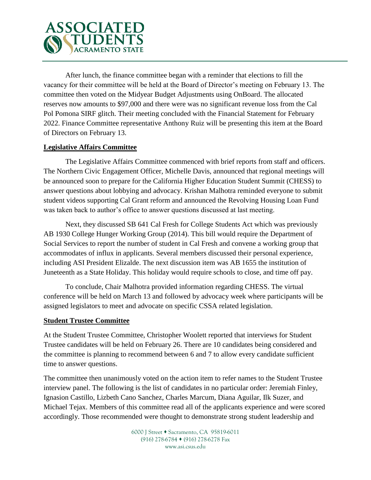

After lunch, the finance committee began with a reminder that elections to fill the vacancy for their committee will be held at the Board of Director's meeting on February 13. The committee then voted on the Midyear Budget Adjustments using OnBoard. The allocated reserves now amounts to \$97,000 and there were was no significant revenue loss from the Cal Pol Pomona SIRF glitch. Their meeting concluded with the Financial Statement for February 2022. Finance Committee representative Anthony Ruiz will be presenting this item at the Board of Directors on February 13.

# **Legislative Affairs Committee**

The Legislative Affairs Committee commenced with brief reports from staff and officers. The Northern Civic Engagement Officer, Michelle Davis, announced that regional meetings will be announced soon to prepare for the California Higher Education Student Summit (CHESS) to answer questions about lobbying and advocacy. Krishan Malhotra reminded everyone to submit student videos supporting Cal Grant reform and announced the Revolving Housing Loan Fund was taken back to author's office to answer questions discussed at last meeting.

Next, they discussed SB 641 Cal Fresh for College Students Act which was previously AB 1930 College Hunger Working Group (2014). This bill would require the Department of Social Services to report the number of student in Cal Fresh and convene a working group that accommodates of influx in applicants. Several members discussed their personal experience, including ASI President Elizalde. The next discussion item was AB 1655 the institution of Juneteenth as a State Holiday. This holiday would require schools to close, and time off pay.

To conclude, Chair Malhotra provided information regarding CHESS. The virtual conference will be held on March 13 and followed by advocacy week where participants will be assigned legislators to meet and advocate on specific CSSA related legislation.

## **Student Trustee Committee**

At the Student Trustee Committee, Christopher Woolett reported that interviews for Student Trustee candidates will be held on February 26. There are 10 candidates being considered and the committee is planning to recommend between 6 and 7 to allow every candidate sufficient time to answer questions.

The committee then unanimously voted on the action item to refer names to the Student Trustee interview panel. The following is the list of candidates in no particular order: Jeremiah Finley, Ignasion Castillo, Lizbeth Cano Sanchez, Charles Marcum, Diana Aguilar, Ilk Suzer, and Michael Tejax. Members of this committee read all of the applicants experience and were scored accordingly. Those recommended were thought to demonstrate strong student leadership and

> 6000 J Street • Sacramento, CA 95819-6011 (916) 278-6784 (916) 278-6278 Fax www.asi.csus.edu